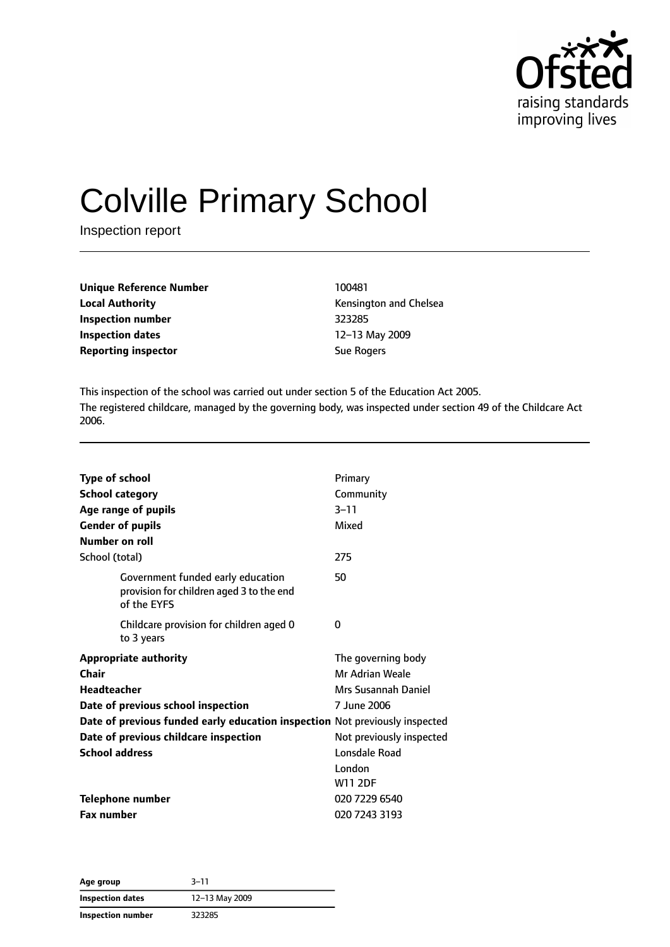

# Colville Primary School

Inspection report

| <b>Unique Reference Number</b> | 100481            |
|--------------------------------|-------------------|
| <b>Local Authority</b>         | Kensington        |
| Inspection number              | 323285            |
| Inspection dates               | $12-13$ May       |
| <b>Reporting inspector</b>     | <b>Sue Rogers</b> |

**Kensington and Chelsea Inspection number** 323285 **Inspection dates** 12–13 May 2009

This inspection of the school was carried out under section 5 of the Education Act 2005. The registered childcare, managed by the governing body, was inspected under section 49 of the Childcare Act 2006.

| <b>Type of school</b><br><b>School category</b><br>Age range of pupils<br><b>Gender of pupils</b><br>Number on roll | Primary<br>Community<br>$3 - 11$<br>Mixed                                   |
|---------------------------------------------------------------------------------------------------------------------|-----------------------------------------------------------------------------|
| School (total)                                                                                                      | 275                                                                         |
| Government funded early education<br>provision for children aged 3 to the end<br>of the EYFS                        | 50                                                                          |
| Childcare provision for children aged 0<br>to 3 years                                                               | 0                                                                           |
| <b>Appropriate authority</b><br>Chair<br><b>Headteacher</b><br>Date of previous school inspection                   | The governing body<br>Mr Adrian Weale<br>Mrs Susannah Daniel<br>7 June 2006 |
| Date of previous funded early education inspection Not previously inspected                                         |                                                                             |
| Date of previous childcare inspection                                                                               | Not previously inspected                                                    |
| <b>School address</b>                                                                                               | Lonsdale Road                                                               |
|                                                                                                                     | London<br><b>W11 2DF</b>                                                    |
| <b>Telephone number</b>                                                                                             | 020 7229 6540                                                               |
| <b>Fax number</b>                                                                                                   | 020 7243 3193                                                               |

**Age group** 3–11 **Inspection dates** 12–13 May 2009 **Inspection number** 323285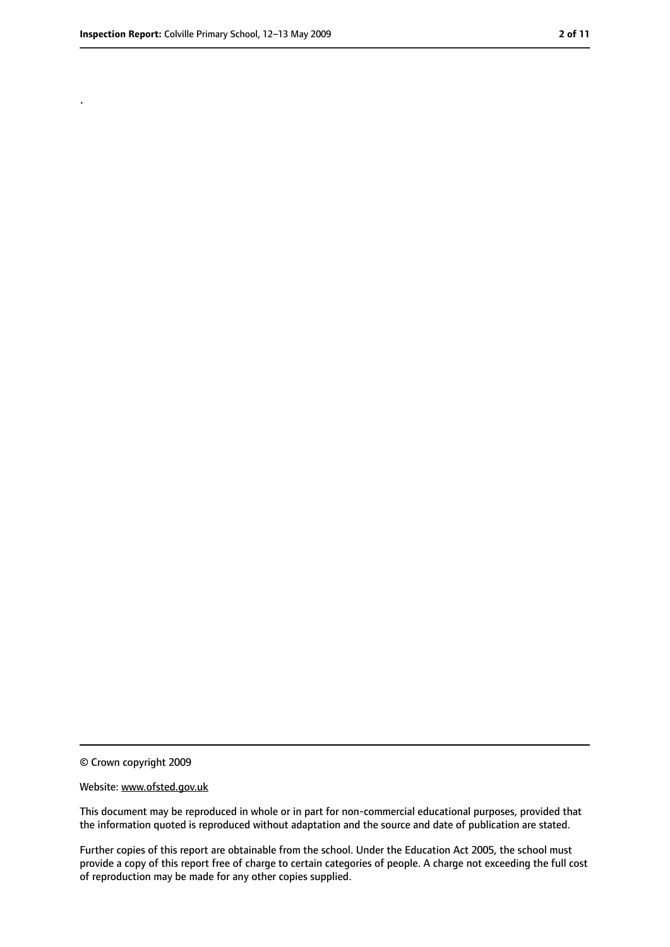.

<sup>©</sup> Crown copyright 2009

Website: www.ofsted.gov.uk

This document may be reproduced in whole or in part for non-commercial educational purposes, provided that the information quoted is reproduced without adaptation and the source and date of publication are stated.

Further copies of this report are obtainable from the school. Under the Education Act 2005, the school must provide a copy of this report free of charge to certain categories of people. A charge not exceeding the full cost of reproduction may be made for any other copies supplied.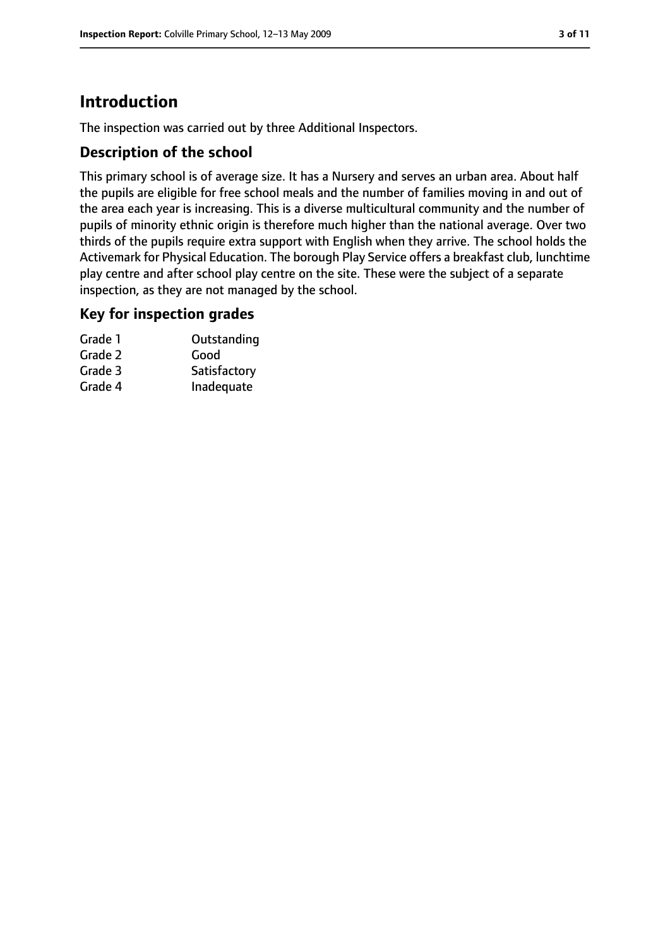# **Introduction**

The inspection was carried out by three Additional Inspectors.

#### **Description of the school**

This primary school is of average size. It has a Nursery and serves an urban area. About half the pupils are eligible for free school meals and the number of families moving in and out of the area each year is increasing. This is a diverse multicultural community and the number of pupils of minority ethnic origin is therefore much higher than the national average. Over two thirds of the pupils require extra support with English when they arrive. The school holds the Activemark for Physical Education. The borough Play Service offers a breakfast club, lunchtime play centre and after school play centre on the site. These were the subject of a separate inspection, as they are not managed by the school.

#### **Key for inspection grades**

| Grade 1 | Outstanding  |
|---------|--------------|
| Grade 2 | Good         |
| Grade 3 | Satisfactory |
| Grade 4 | Inadequate   |
|         |              |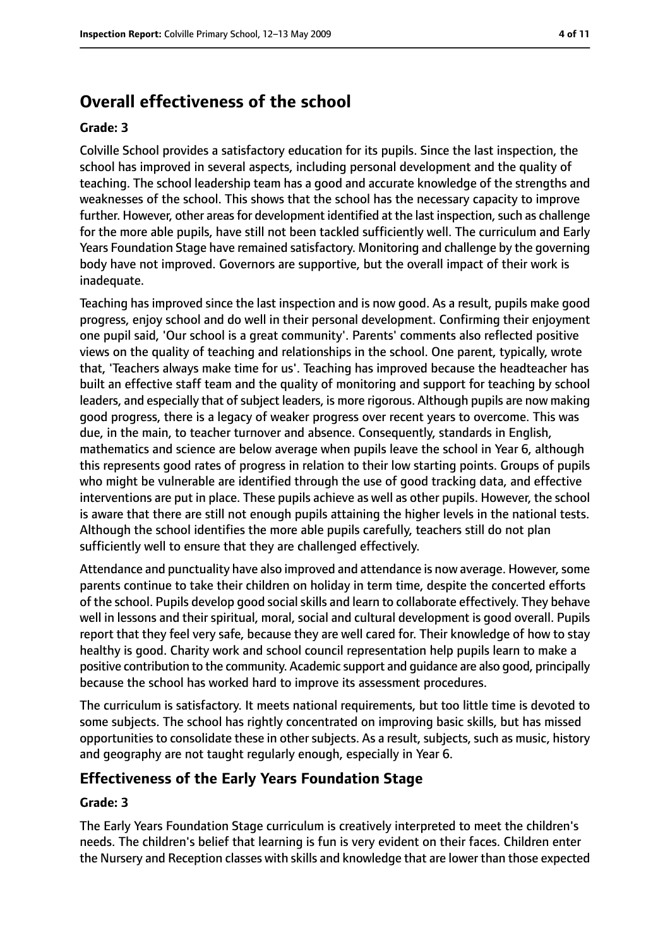# **Overall effectiveness of the school**

#### **Grade: 3**

Colville School provides a satisfactory education for its pupils. Since the last inspection, the school has improved in several aspects, including personal development and the quality of teaching. The school leadership team has a good and accurate knowledge of the strengths and weaknesses of the school. This shows that the school has the necessary capacity to improve further. However, other areas for development identified at the last inspection, such as challenge for the more able pupils, have still not been tackled sufficiently well. The curriculum and Early Years Foundation Stage have remained satisfactory. Monitoring and challenge by the governing body have not improved. Governors are supportive, but the overall impact of their work is inadequate.

Teaching has improved since the last inspection and is now good. As a result, pupils make good progress, enjoy school and do well in their personal development. Confirming their enjoyment one pupil said, 'Our school is a great community'. Parents' comments also reflected positive views on the quality of teaching and relationships in the school. One parent, typically, wrote that, 'Teachers always make time for us'. Teaching has improved because the headteacher has built an effective staff team and the quality of monitoring and support for teaching by school leaders, and especially that of subject leaders, is more rigorous. Although pupils are now making good progress, there is a legacy of weaker progress over recent years to overcome. This was due, in the main, to teacher turnover and absence. Consequently, standards in English, mathematics and science are below average when pupils leave the school in Year 6, although this represents good rates of progress in relation to their low starting points. Groups of pupils who might be vulnerable are identified through the use of good tracking data, and effective interventions are put in place. These pupils achieve as well as other pupils. However, the school is aware that there are still not enough pupils attaining the higher levels in the national tests. Although the school identifies the more able pupils carefully, teachers still do not plan sufficiently well to ensure that they are challenged effectively.

Attendance and punctuality have also improved and attendance is now average. However, some parents continue to take their children on holiday in term time, despite the concerted efforts of the school. Pupils develop good social skills and learn to collaborate effectively. They behave well in lessons and their spiritual, moral, social and cultural development is good overall. Pupils report that they feel very safe, because they are well cared for. Their knowledge of how to stay healthy is good. Charity work and school council representation help pupils learn to make a positive contribution to the community. Academic support and guidance are also good, principally because the school has worked hard to improve its assessment procedures.

The curriculum is satisfactory. It meets national requirements, but too little time is devoted to some subjects. The school has rightly concentrated on improving basic skills, but has missed opportunities to consolidate these in other subjects. As a result, subjects, such as music, history and geography are not taught regularly enough, especially in Year 6.

#### **Effectiveness of the Early Years Foundation Stage**

#### **Grade: 3**

The Early Years Foundation Stage curriculum is creatively interpreted to meet the children's needs. The children's belief that learning is fun is very evident on their faces. Children enter the Nursery and Reception classes with skills and knowledge that are lower than those expected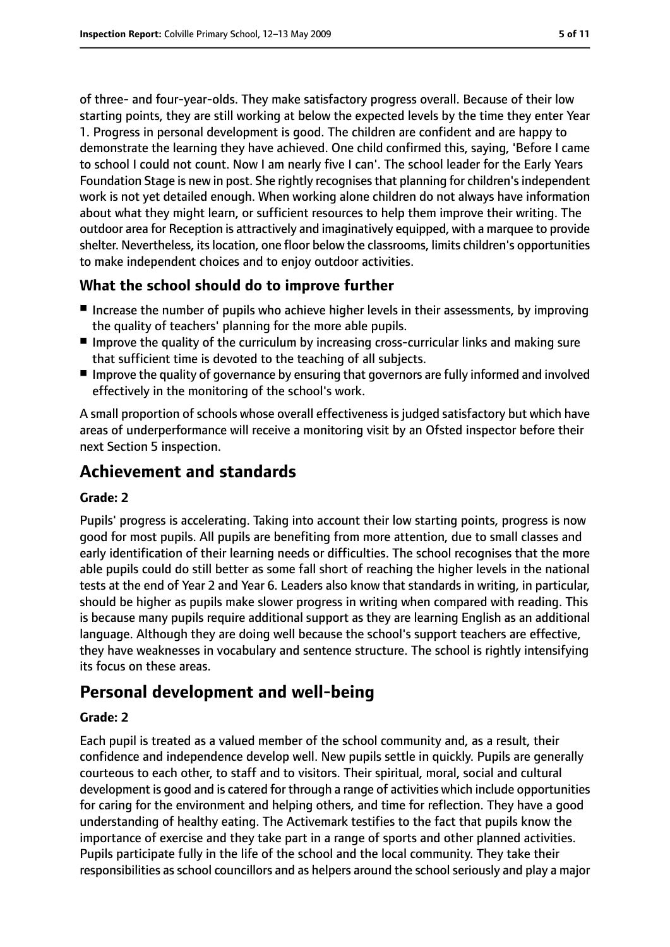of three- and four-year-olds. They make satisfactory progress overall. Because of their low starting points, they are still working at below the expected levels by the time they enter Year 1. Progress in personal development is good. The children are confident and are happy to demonstrate the learning they have achieved. One child confirmed this, saying, 'Before I came to school I could not count. Now I am nearly five I can'. The school leader for the Early Years Foundation Stage is new in post. She rightly recognises that planning for children's independent work is not yet detailed enough. When working alone children do not always have information about what they might learn, or sufficient resources to help them improve their writing. The outdoor area for Reception is attractively and imaginatively equipped, with a marquee to provide shelter. Nevertheless, itslocation, one floor below the classrooms, limits children's opportunities to make independent choices and to enjoy outdoor activities.

## **What the school should do to improve further**

- Increase the number of pupils who achieve higher levels in their assessments, by improving the quality of teachers' planning for the more able pupils.
- Improve the quality of the curriculum by increasing cross-curricular links and making sure that sufficient time is devoted to the teaching of all subjects.
- Improve the quality of governance by ensuring that governors are fully informed and involved effectively in the monitoring of the school's work.

A small proportion of schools whose overall effectiveness is judged satisfactory but which have areas of underperformance will receive a monitoring visit by an Ofsted inspector before their next Section 5 inspection.

# **Achievement and standards**

#### **Grade: 2**

Pupils' progress is accelerating. Taking into account their low starting points, progress is now good for most pupils. All pupils are benefiting from more attention, due to small classes and early identification of their learning needs or difficulties. The school recognises that the more able pupils could do still better as some fall short of reaching the higher levels in the national tests at the end of Year 2 and Year 6. Leaders also know that standards in writing, in particular, should be higher as pupils make slower progress in writing when compared with reading. This is because many pupils require additional support as they are learning English as an additional language. Although they are doing well because the school's support teachers are effective, they have weaknesses in vocabulary and sentence structure. The school is rightly intensifying its focus on these areas.

# **Personal development and well-being**

#### **Grade: 2**

Each pupil is treated as a valued member of the school community and, as a result, their confidence and independence develop well. New pupils settle in quickly. Pupils are generally courteous to each other, to staff and to visitors. Their spiritual, moral, social and cultural development is good and is catered for through a range of activities which include opportunities for caring for the environment and helping others, and time for reflection. They have a good understanding of healthy eating. The Activemark testifies to the fact that pupils know the importance of exercise and they take part in a range of sports and other planned activities. Pupils participate fully in the life of the school and the local community. They take their responsibilities as school councillors and as helpers around the school seriously and play a major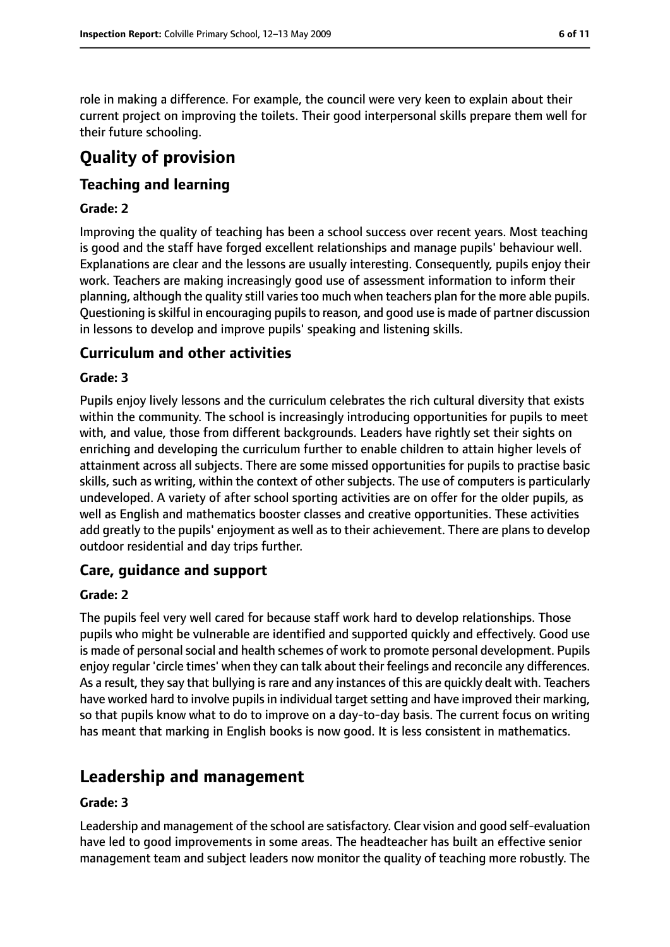role in making a difference. For example, the council were very keen to explain about their current project on improving the toilets. Their good interpersonal skills prepare them well for their future schooling.

# **Quality of provision**

## **Teaching and learning**

#### **Grade: 2**

Improving the quality of teaching has been a school success over recent years. Most teaching is good and the staff have forged excellent relationships and manage pupils' behaviour well. Explanations are clear and the lessons are usually interesting. Consequently, pupils enjoy their work. Teachers are making increasingly good use of assessment information to inform their planning, although the quality still varies too much when teachers plan for the more able pupils. Questioning is skilful in encouraging pupils to reason, and good use is made of partner discussion in lessons to develop and improve pupils' speaking and listening skills.

#### **Curriculum and other activities**

#### **Grade: 3**

Pupils enjoy lively lessons and the curriculum celebrates the rich cultural diversity that exists within the community. The school is increasingly introducing opportunities for pupils to meet with, and value, those from different backgrounds. Leaders have rightly set their sights on enriching and developing the curriculum further to enable children to attain higher levels of attainment across all subjects. There are some missed opportunities for pupils to practise basic skills, such as writing, within the context of other subjects. The use of computers is particularly undeveloped. A variety of after school sporting activities are on offer for the older pupils, as well as English and mathematics booster classes and creative opportunities. These activities add greatly to the pupils' enjoyment as well as to their achievement. There are plans to develop outdoor residential and day trips further.

#### **Care, guidance and support**

#### **Grade: 2**

The pupils feel very well cared for because staff work hard to develop relationships. Those pupils who might be vulnerable are identified and supported quickly and effectively. Good use is made of personal social and health schemes of work to promote personal development. Pupils enjoy regular 'circle times' when they can talk about their feelings and reconcile any differences. As a result, they say that bullying israre and any instances of this are quickly dealt with. Teachers have worked hard to involve pupils in individual target setting and have improved their marking, so that pupils know what to do to improve on a day-to-day basis. The current focus on writing has meant that marking in English books is now good. It is less consistent in mathematics.

## **Leadership and management**

#### **Grade: 3**

Leadership and management of the school are satisfactory. Clear vision and good self-evaluation have led to good improvements in some areas. The headteacher has built an effective senior management team and subject leaders now monitor the quality of teaching more robustly. The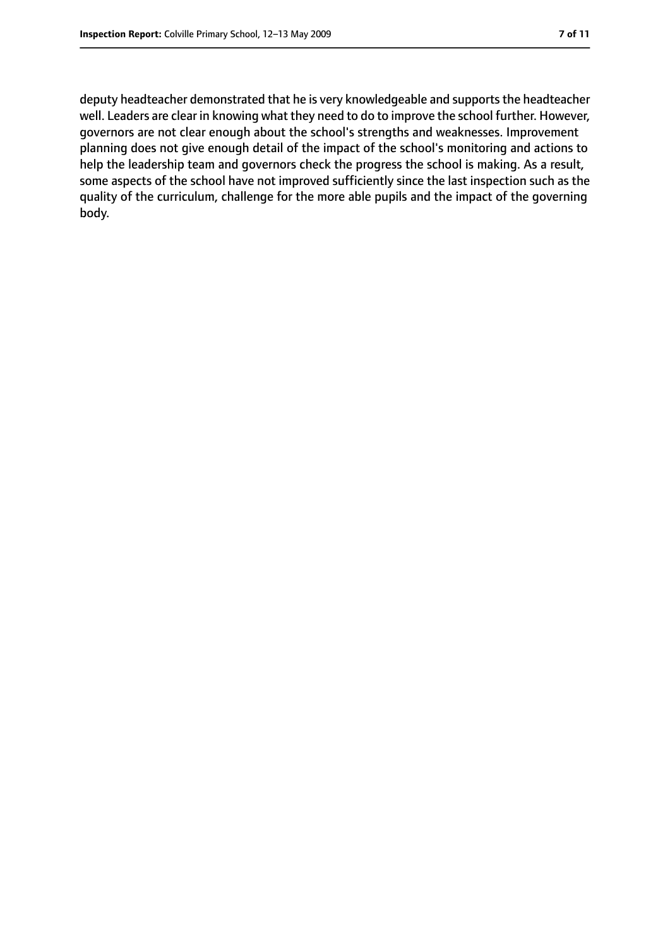deputy headteacher demonstrated that he is very knowledgeable and supports the headteacher well. Leaders are clear in knowing what they need to do to improve the school further. However, governors are not clear enough about the school's strengths and weaknesses. Improvement planning does not give enough detail of the impact of the school's monitoring and actions to help the leadership team and governors check the progress the school is making. As a result, some aspects of the school have not improved sufficiently since the last inspection such as the quality of the curriculum, challenge for the more able pupils and the impact of the governing body.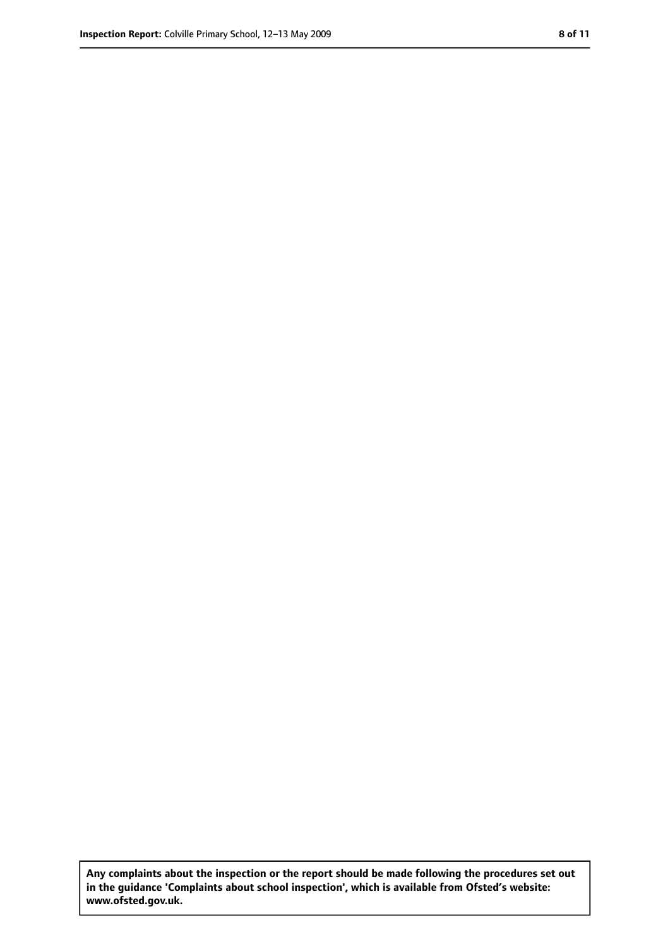**Any complaints about the inspection or the report should be made following the procedures set out in the guidance 'Complaints about school inspection', which is available from Ofsted's website: www.ofsted.gov.uk.**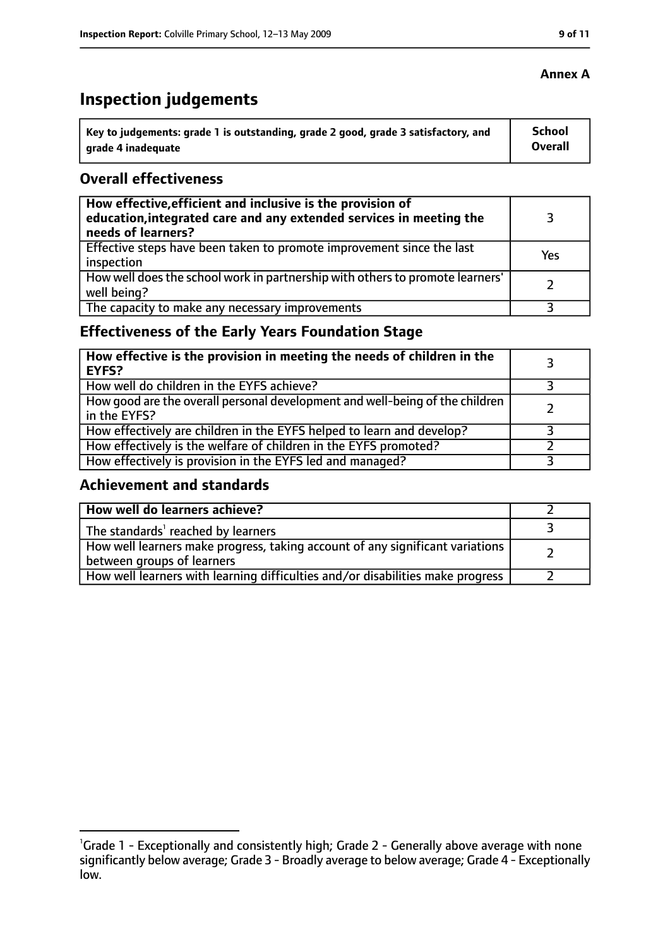# **Inspection judgements**

| ˈ Key to judgements: grade 1 is outstanding, grade 2 good, grade 3 satisfactory, and | School         |
|--------------------------------------------------------------------------------------|----------------|
| grade 4 inadequate                                                                   | <b>Overall</b> |

#### **Overall effectiveness**

| How effective, efficient and inclusive is the provision of<br>education, integrated care and any extended services in meeting the<br>needs of learners? |     |
|---------------------------------------------------------------------------------------------------------------------------------------------------------|-----|
| Effective steps have been taken to promote improvement since the last<br>inspection                                                                     | Yes |
| How well does the school work in partnership with others to promote learners'<br>well being?                                                            |     |
| The capacity to make any necessary improvements                                                                                                         |     |

## **Effectiveness of the Early Years Foundation Stage**

| How effective is the provision in meeting the needs of children in the<br>EYFS?                |  |
|------------------------------------------------------------------------------------------------|--|
| How well do children in the EYFS achieve?                                                      |  |
| How good are the overall personal development and well-being of the children<br>I in the EYFS? |  |
| How effectively are children in the EYFS helped to learn and develop?                          |  |
| How effectively is the welfare of children in the EYFS promoted?                               |  |
| How effectively is provision in the EYFS led and managed?                                      |  |

#### **Achievement and standards**

| How well do learners achieve?                                                                               |  |
|-------------------------------------------------------------------------------------------------------------|--|
| The standards <sup>1</sup> reached by learners                                                              |  |
| How well learners make progress, taking account of any significant variations<br>between groups of learners |  |
| How well learners with learning difficulties and/or disabilities make progress                              |  |

## **Annex A**

<sup>&</sup>lt;sup>1</sup>Grade 1 - Exceptionally and consistently high; Grade 2 - Generally above average with none significantly below average; Grade 3 - Broadly average to below average; Grade 4 - Exceptionally low.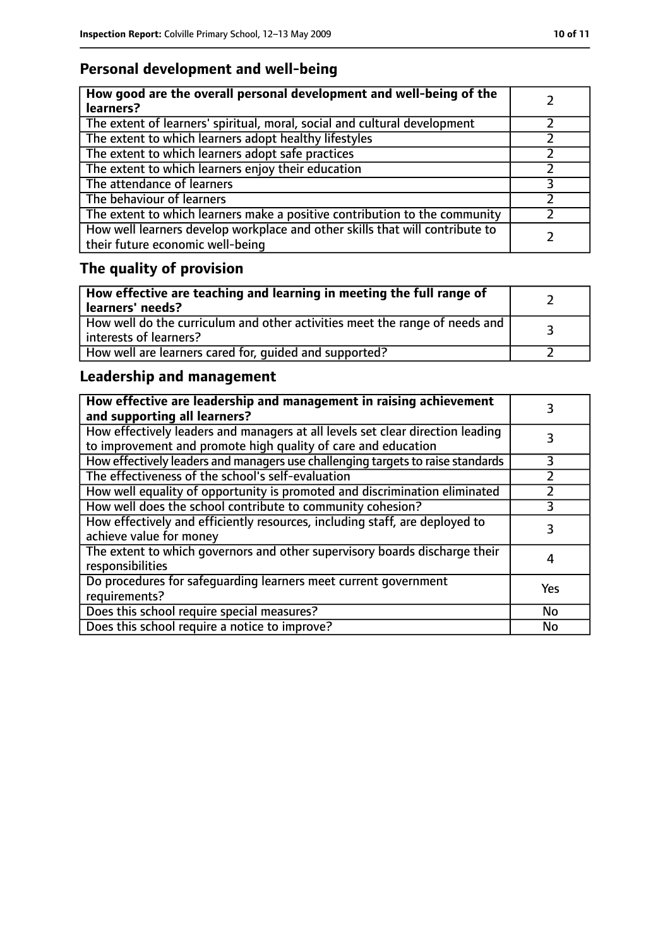## **Personal development and well-being**

| How good are the overall personal development and well-being of the<br>learners?                                 |  |
|------------------------------------------------------------------------------------------------------------------|--|
| The extent of learners' spiritual, moral, social and cultural development                                        |  |
| The extent to which learners adopt healthy lifestyles                                                            |  |
| The extent to which learners adopt safe practices                                                                |  |
| The extent to which learners enjoy their education                                                               |  |
| The attendance of learners                                                                                       |  |
| The behaviour of learners                                                                                        |  |
| The extent to which learners make a positive contribution to the community                                       |  |
| How well learners develop workplace and other skills that will contribute to<br>their future economic well-being |  |

# **The quality of provision**

| How effective are teaching and learning in meeting the full range of<br>learners' needs?                |  |
|---------------------------------------------------------------------------------------------------------|--|
| How well do the curriculum and other activities meet the range of needs and<br>  interests of learners? |  |
| How well are learners cared for, quided and supported?                                                  |  |

## **Leadership and management**

| How effective are leadership and management in raising achievement<br>and supporting all learners?                                              |     |
|-------------------------------------------------------------------------------------------------------------------------------------------------|-----|
| How effectively leaders and managers at all levels set clear direction leading<br>to improvement and promote high quality of care and education |     |
| How effectively leaders and managers use challenging targets to raise standards                                                                 | 3   |
| The effectiveness of the school's self-evaluation                                                                                               |     |
| How well equality of opportunity is promoted and discrimination eliminated                                                                      |     |
| How well does the school contribute to community cohesion?                                                                                      | 3   |
| How effectively and efficiently resources, including staff, are deployed to<br>achieve value for money                                          | 3   |
| The extent to which governors and other supervisory boards discharge their<br>responsibilities                                                  | 4   |
| Do procedures for safequarding learners meet current government<br>requirements?                                                                | Yes |
| Does this school require special measures?                                                                                                      | No  |
| Does this school require a notice to improve?                                                                                                   | No  |